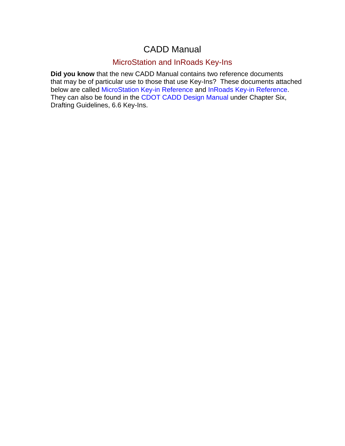## CADD Manual

## MicroStation and InRoads Key-Ins

**Did you know** that the new CADD Manual contains two reference documents that may be of particular use to those that use Key-Ins? These documents attached below are called [MicroStation Key-in Reference](#page-1-0) and [InRoads Key-in Reference](#page-3-0). They can also be found in the CDOT CADD Design [Manual](http://www.dot.state.co.us/ECSU/Manuals/CDOT_CADD_Manual/CDOT_CADD_Manual.htm) under Chapter Six, Drafting Guidelines, 6.6 Key-Ins.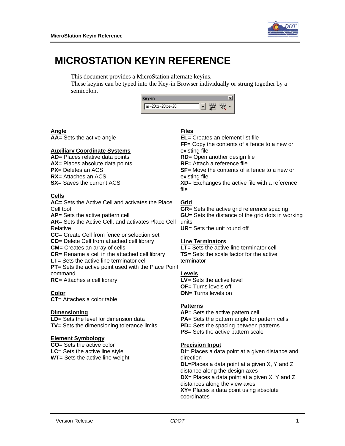

## <span id="page-1-0"></span>**MICROSTATION KEYIN REFERENCE**

This document provides a MicroStation alternate keyins.

These keyins can be typed into the Key-in Browser individually or strung together by a semicolon.

| as=20;ts=20;ps=20 |  |  |
|-------------------|--|--|

#### **Angle**

**AA**= Sets the active angle

#### **Auxiliary Coordinate Systems**

**AD**= Places relative data points

**AX**= Places absolute data points

**PX**= Deletes an ACS

**RX**= Attaches an ACS

**SX**= Saves the current ACS

### **Cells**

**AC=** Sets the Active Cell and activates the Place Cell tool **AP**= Sets the active pattern cell

**AR**= Sets the Active Cell, and activates Place Cell Relative

**CC**= Create Cell from fence or selection set

**CD**= Delete Cell from attached cell library

**CM**= Creates an array of cells

**CR**= Rename a cell in the attached cell library

**LT**= Sets the active line terminator cell **PT**= Sets the active point used with the Place Point

command.

**RC**= Attaches a cell library

#### **Color**

**CT**= Attaches a color table

#### **Dimensioning**

**LD**= Sets the level for dimension data **TV**= Sets the dimensioning tolerance limits

#### **Element Symbology**

**CO**= Sets the active color **LC**= Sets the active line style **WT**= Sets the active line weight

#### **Files**

**EL**= Creates an element list file

**FF**= Copy the contents of a fence to a new or existing file

**RD**= Open another design file

**RF**= Attach a reference file

**SF**= Move the contents of a fence to a new or existing file

**XD**= Exchanges the active file with a reference file

### **Grid**

**GR**= Sets the active grid reference spacing **GU**= Sets the distance of the grid dots in working units

**UR**= Sets the unit round off

#### **Line Terminators**

**LT**= Sets the active line terminator cell **TS**= Sets the scale factor for the active terminator

#### **Levels**

**LV**= Sets the active level **OF**= Turns levels off **ON**= Turns levels on

#### **Patterns**

**AP**= Sets the active pattern cell **PA**= Sets the pattern angle for pattern cells **PD**= Sets the spacing between patterns **PS**= Sets the active pattern scale

#### **Precision Input**

**DI**= Places a data point at a given distance and direction **DL**=Places a data point at a given X, Y and Z distance along the design axes **DX**= Places a data point at a given X, Y and Z distances along the view axes **XY**= Places a data point using absolute coordinates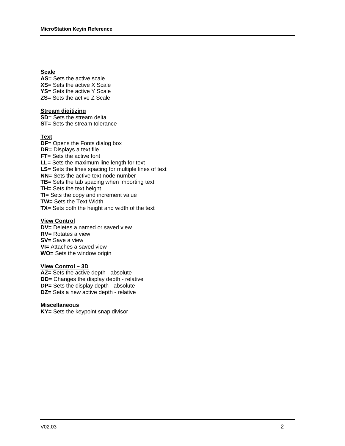#### **Scale**

**AS**= Sets the active scale **XS**= Sets the active X Scale **YS**= Sets the active Y Scale **ZS**= Sets the active Z Scale

#### **Stream digitizing**

**SD**= Sets the stream delta **ST**= Sets the stream tolerance

#### **Text**

**DF**= Opens the Fonts dialog box **DR**= Displays a text file **FT**= Sets the active font **LL**= Sets the maximum line length for text **LS**= Sets the lines spacing for multiple lines of text **NN**= Sets the active text node number **TB=** Sets the tab spacing when importing text **TH=** Sets the text height **TI=** Sets the copy and increment value **TW=** Sets the Text Width **TX=** Sets both the height and width of the text

#### **View Control**

**DV=** Deletes a named or saved view **RV=** Rotates a view **SV=** Save a view **VI=** Attaches a saved view **WO=** Sets the window origin

#### **View Control – 3D**

**AZ=** Sets the active depth - absolute **DD=** Changes the display depth - relative **DP=** Sets the display depth - absolute **DZ=** Sets a new active depth - relative

#### **Miscellaneous**

**KY=** Sets the keypoint snap divisor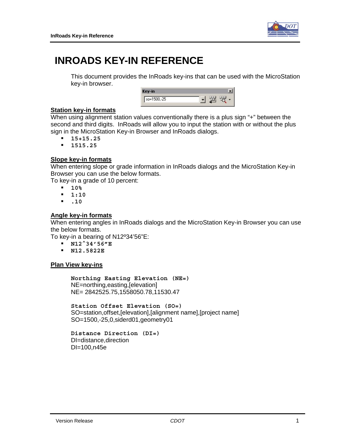

# <span id="page-3-0"></span>**INROADS KEY-IN REFERENCE**

This document provides the InRoads key-ins that can be used with the MicroStation key-in browser.

| ш           |  |
|-------------|--|
| so=1500,-25 |  |

## **Station key-in formats**

When using alignment station values conventionally there is a plus sign "+" between the second and third digits. InRoads will allow you to input the station with or without the plus sign in the MicroStation Key-in Browser and InRoads dialogs.

- **15+15.25**
- **1515.25**

## **Slope key-in formats**

When entering slope or grade information in InRoads dialogs and the MicroStation Key-in Browser you can use the below formats.

To key-in a grade of 10 percent:

- **10%**
- **1:10**
- **.10**

### **Angle key-in formats**

When entering angles in InRoads dialogs and the MicroStation Key-in Browser you can use the below formats.

To key-in a bearing of N12º34'56"E:

- **N12^34'56"E**
- **N12.5822E**

## **Plan View key-ins**

**Northing Easting Elevation (NE=)**  NE=northing,easting,[elevation] NE= 2842525.75,1558050.78,11530.47

**Station Offset Elevation (SO=)**  SO=station,offset,[elevation],[alignment name],[project name] SO=1500,-25,0,siderd01,geometry01

 **Distance Direction (DI=)**  DI=distance,direction DI=100,n45e